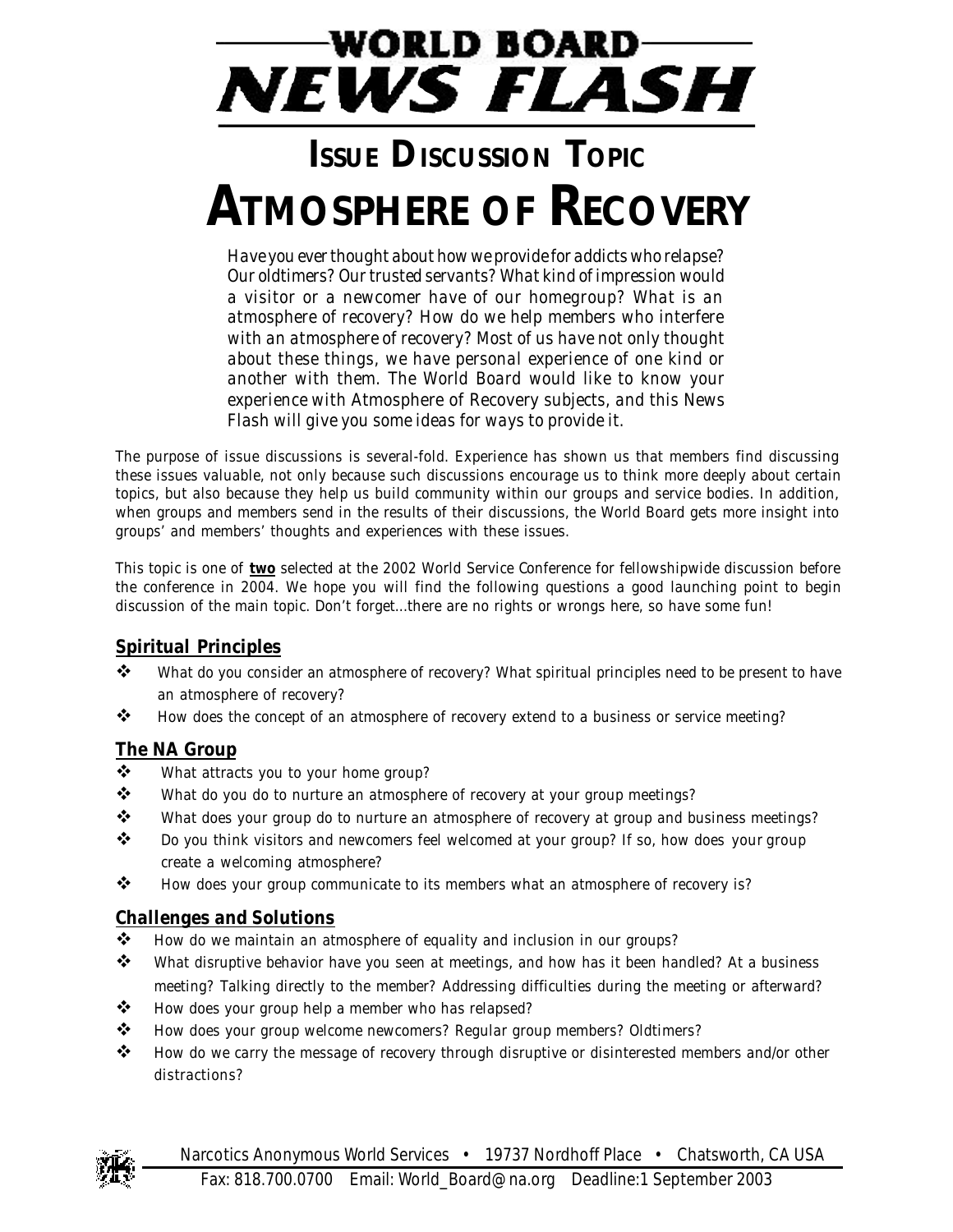# **WORLD BOARD NEWS FLASH**

## **ISSUE DISCUSSION TOPIC ATMOSPHERE OF RECOVERY**

*Have you ever thought about how we provide for addicts who relapse? Our oldtimers? Our trusted servants? What kind of impression would a visitor or a newcomer have of our homegroup? What is an atmosphere of recovery? How do we help members who interfere with an atmosphere of recovery? Most of us have not only thought about these things, we have personal experience of one kind or another with them. The World Board would like to know your experience with* Atmosphere of Recovery *subjects, and this* News Flash *will give you some ideas for ways to provide it.*

The purpose of issue discussions is several-fold. Experience has shown us that members find discussing these issues valuable, not only because such discussions encourage us to think more deeply about certain topics, but also because they help us build community within our groups and service bodies. In addition, when groups and members send in the results of their discussions, the World Board gets more insight into groups' and members' thoughts and experiences with these issues.

This topic is one of **two** selected at the 2002 World Service Conference for fellowshipwide discussion before the conference in 2004. We hope you will find the following questions a good launching point to begin discussion of the main topic. Don't forget...there are no rights or wrongs here, so have some fun!

#### **Spiritual Principles**

- \* What do you consider an atmosphere of recovery? What spiritual principles need to be present to have an atmosphere of recovery?
- \* How does the concept of an atmosphere of recovery extend to a business or service meeting?

#### **The NA Group**

- ❖ What attracts you to your home group?
- \* What do you do to nurture an atmosphere of recovery at your group meetings?
- \* What does your group do to nurture an atmosphere of recovery at group and business meetings?
- $\cdot \cdot$  Do you think visitors and newcomers feel welcomed at your group? If so, how does your group create a welcoming atmosphere?
- \* How does your group communicate to its members what an atmosphere of recovery is?

#### **Challenges and Solutions**

- \* How do we maintain an atmosphere of equality and inclusion in our groups?
- \* What disruptive behavior have you seen at meetings, and how has it been handled? At a business meeting? Talking directly to the member? Addressing difficulties during the meeting or afterward?
- $\clubsuit$  How does your group help a member who has relapsed?
- \* How does your group welcome newcomers? Regular group members? Oldtimers?
- \* How do we carry the message of recovery through disruptive or disinterested members and/or other distractions?